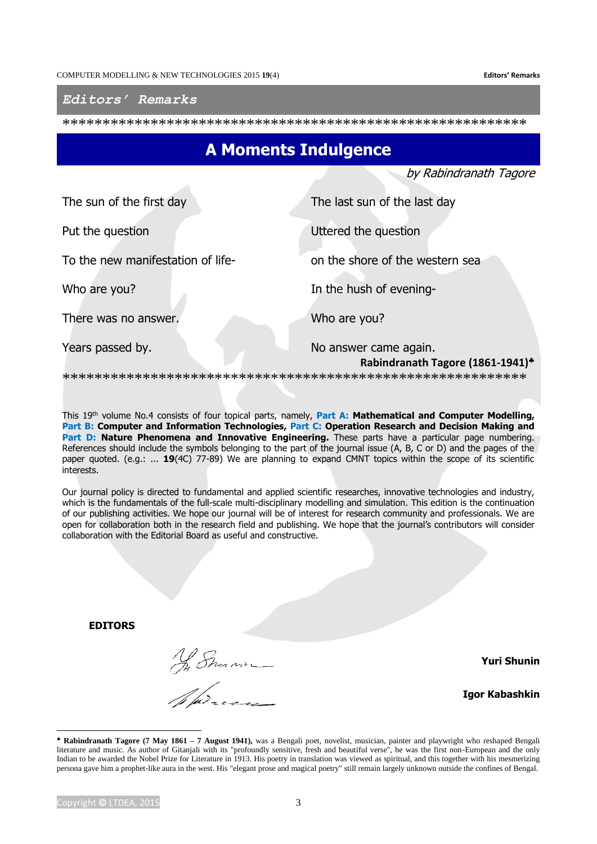*Editors' Remarks*

\*\*\*\*\*\*\*\*\*\*\*\*\*\*\*\*\*\*\*\*\*\*\*\*\*\*\*\*\*\*\*\*\*\*\*\*\*\*\*\*\*\*\*\*\*\*\*\*\*\*\*\*\*\*\*\*\*\*

## **A Moments Indulgence**

by Rabindranath Tagore

| The sun of the first day          | The last sun of the last day                              |
|-----------------------------------|-----------------------------------------------------------|
| Put the question                  | Uttered the question                                      |
| To the new manifestation of life- | on the shore of the western sea                           |
| Who are you?                      | In the hush of evening-                                   |
| There was no answer.              | Who are you?                                              |
| Years passed by.                  | No answer came again.<br>Rabindranath Tagore (1861-1941)* |

\*\*\*\*\*\*\*\*\*\*\*\*\*\*\*\*\*\*\*\*\*\*\*\*\*\*\*\*\*\*\*\*\*\*\*\*\*\*\*\*\*\*\*\*\*\*\*\*\*\*\*\*\*\*\*\*\*\*

This 19<sup>th</sup> volume No.4 consists of four topical parts, namely, Part A: Mathematical and Computer Modelling, **Part B: Computer and Information Technologies, Part C: Operation Research and Decision Making and** Part D: Nature Phenomena and Innovative Engineering. These parts have a particular page numbering. References should include the symbols belonging to the part of the journal issue (A, B, C or D) and the pages of the paper quoted. (e.g.: ... **19**(4C) 77-89) We are planning to expand CMNT topics within the scope of its scientific interests.

Our journal policy is directed to fundamental and applied scientific researches, innovative technologies and industry, which is the fundamentals of the full-scale multi-disciplinary modelling and simulation. This edition is the continuation of our publishing activities. We hope our journal will be of interest for research community and professionals. We are open for collaboration both in the research field and publishing. We hope that the journal's contributors will consider collaboration with the Editorial Board as useful and constructive.

**EDITORS**

Ny Sman

**Yuri Shunin**

**Igor Kabashkin**

-

**Rabindranath Tagore (7 May 1861 – 7 August 1941),** was a Bengali poet, novelist, musician, painter and playwright who reshaped Bengali literature and music. As author of Gitanjali with its "profoundly sensitive, fresh and beautiful verse", he was the first non-European and the only Indian to be awarded the Nobel Prize for Literature in 1913. His poetry in translation was viewed as spiritual, and this together with his mesmerizing persona gave him a prophet-like aura in the west. His "elegant prose and magical poetry" still remain largely unknown outside the confines of Bengal.